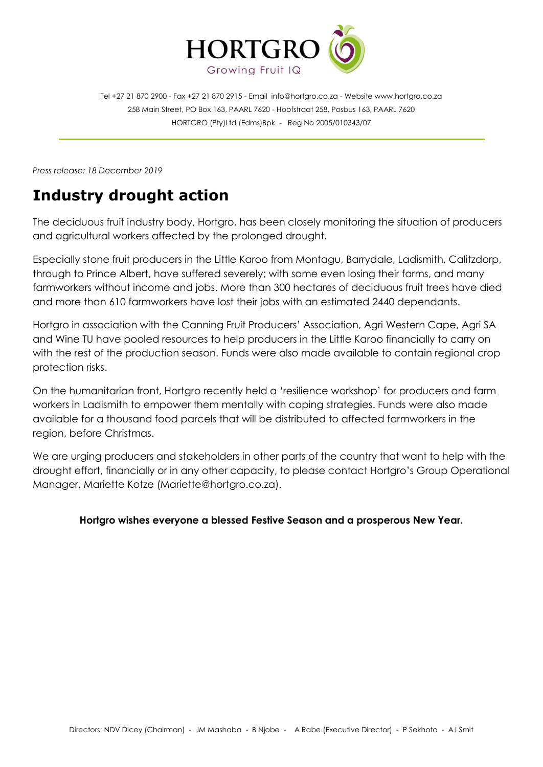

Tel +27 21 870 2900 - Fax +27 21 870 2915 - Email [info@hortgro.co.za](mailto:info@hortgro.co.za) - Website www.hortgro.co.za 258 Main Street, PO Box 163, PAARL 7620 - Hoofstraat 258, Posbus 163, PAARL 7620 HORTGRO (Pty)Ltd (Edms)Bpk - Reg No 2005/010343/07

*Press release: 18 December 2019*

## **Industry drought action**

The deciduous fruit industry body, Hortgro, has been closely monitoring the situation of producers and agricultural workers affected by the prolonged drought.

Especially stone fruit producers in the Little Karoo from Montagu, Barrydale, Ladismith, Calitzdorp, through to Prince Albert, have suffered severely; with some even losing their farms, and many farmworkers without income and jobs. More than 300 hectares of deciduous fruit trees have died and more than 610 farmworkers have lost their jobs with an estimated 2440 dependants.

Hortgro in association with the Canning Fruit Producers' Association, Agri Western Cape, Agri SA and Wine TU have pooled resources to help producers in the Little Karoo financially to carry on with the rest of the production season. Funds were also made available to contain regional crop protection risks.

On the humanitarian front, Hortgro recently held a 'resilience workshop' for producers and farm workers in Ladismith to empower them mentally with coping strategies. Funds were also made available for a thousand food parcels that will be distributed to affected farmworkers in the region, before Christmas.

We are urging producers and stakeholders in other parts of the country that want to help with the drought effort, financially or in any other capacity, to please contact Hortgro's Group Operational Manager, Mariette Kotze (Mariette@hortgro.co.za).

## **Hortgro wishes everyone a blessed Festive Season and a prosperous New Year.**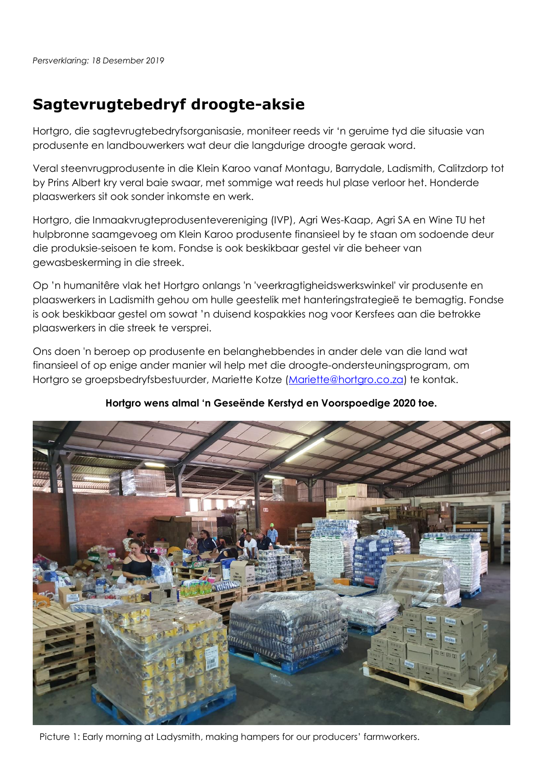## **Sagtevrugtebedryf droogte-aksie**

Hortgro, die sagtevrugtebedryfsorganisasie, moniteer reeds vir 'n geruime tyd die situasie van produsente en landbouwerkers wat deur die langdurige droogte geraak word.

Veral steenvrugprodusente in die Klein Karoo vanaf Montagu, Barrydale, Ladismith, Calitzdorp tot by Prins Albert kry veral baie swaar, met sommige wat reeds hul plase verloor het. Honderde plaaswerkers sit ook sonder inkomste en werk.

Hortgro, die Inmaakvrugteprodusentevereniging (IVP), Agri Wes-Kaap, Agri SA en Wine TU het hulpbronne saamgevoeg om Klein Karoo produsente finansieel by te staan om sodoende deur die produksie-seisoen te kom. Fondse is ook beskikbaar gestel vir die beheer van gewasbeskerming in die streek.

Op 'n humanitêre vlak het Hortgro onlangs 'n 'veerkragtigheidswerkswinkel' vir produsente en plaaswerkers in Ladismith gehou om hulle geestelik met hanteringstrategieë te bemagtig. Fondse is ook beskikbaar gestel om sowat 'n duisend kospakkies nog voor Kersfees aan die betrokke plaaswerkers in die streek te versprei.

Ons doen 'n beroep op produsente en belanghebbendes in ander dele van die land wat finansieel of op enige ander manier wil help met die droogte-ondersteuningsprogram, om Hortgro se groepsbedryfsbestuurder, Mariette Kotze [\(Mariette@hortgro.co.za\)](mailto:Mariette@hortgro.co.za) te kontak.

## **Hortgro wens almal 'n Geseënde Kerstyd en Voorspoedige 2020 toe.**



Picture 1: Early morning at Ladysmith, making hampers for our producers' farmworkers.